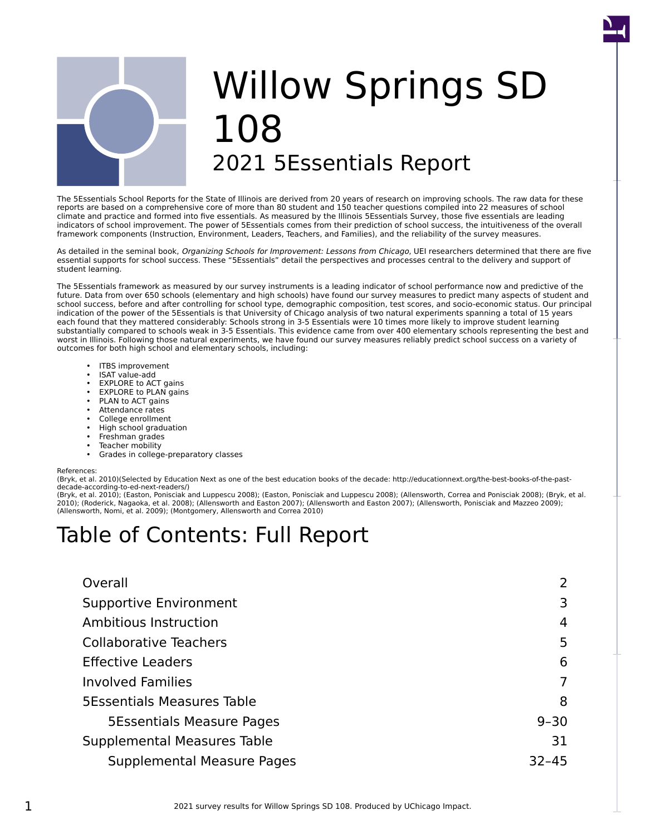

# Willow Springs SD 108 2021 5Essentials Report

The 5Essentials School Reports for the State of Illinois are derived from 20 years of research on improving schools. The raw data for these reports are based on a comprehensive core of more than 80 student and 150 teacher questions compiled into 22 measures of school climate and practice and formed into five essentials. As measured by the Illinois 5Essentials Survey, those five essentials are leading indicators of school improvement. The power of 5Essentials comes from their prediction of school success, the intuitiveness of the overall framework components (Instruction, Environment, Leaders, Teachers, and Families), and the reliability of the survey measures.

As detailed in the seminal book, Organizing Schools for Improvement: Lessons from Chicago, UEI researchers determined that there are five essential supports for school success. These "5Essentials" detail the perspectives and processes central to the delivery and support of student learning.

The 5Essentials framework as measured by our survey instruments is a leading indicator of school performance now and predictive of the future. Data from over 650 schools (elementary and high schools) have found our survey measures to predict many aspects of student and school success, before and after controlling for school type, demographic composition, test scores, and socio-economic status. Our principal indication of the power of the 5Essentials is that University of Chicago analysis of two natural experiments spanning a total of 15 years each found that they mattered considerably: Schools strong in 3-5 Essentials were 10 times more likely to improve student learning substantially compared to schools weak in 3-5 Essentials. This evidence came from over 400 elementary schools representing the best and worst in Illinois. Following those natural experiments, we have found our survey measures reliably predict school success on a variety of outcomes for both high school and elementary schools, including:

- ITBS improvement
- ISAT value-add
- EXPLORE to ACT gains
- EXPLORE to PLAN gains
- PLAN to ACT gains
- Attendance rates
- College enrollment
- High school graduation
- Freshman grades
- Teacher mobility
- Grades in college-preparatory classes

#### References:

(Bryk, et al. 2010)(Selected by Education Next as one of the best education books of the decade: http://educationnext.org/the-best-books-of-the-pastdecade-according-to-ed-next-readers/)

(Bryk, et al. 2010); (Easton, Ponisciak and Luppescu 2008); (Easton, Ponisciak and Luppescu 2008); (Allensworth, Correa and Ponisciak 2008); (Bryk, et al. 2010); (Roderick, Nagaoka, et al. 2008); (Allensworth and Easton 2007); (Allensworth and Easton 2007); (Allensworth, Ponisciak and Mazzeo 2009); (Allensworth, Nomi, et al. 2009); (Montgomery, Allensworth and Correa 2010)

# Table of Contents: Full Report

| Overall                           | 2         |
|-----------------------------------|-----------|
| <b>Supportive Environment</b>     | 3         |
| Ambitious Instruction             | 4         |
| <b>Collaborative Teachers</b>     | 5         |
| <b>Effective Leaders</b>          | 6         |
| <b>Involved Families</b>          | 7         |
| <b>5Essentials Measures Table</b> | 8         |
| <b>5Essentials Measure Pages</b>  | $9 - 30$  |
| Supplemental Measures Table       | 31        |
| Supplemental Measure Pages        | $32 - 45$ |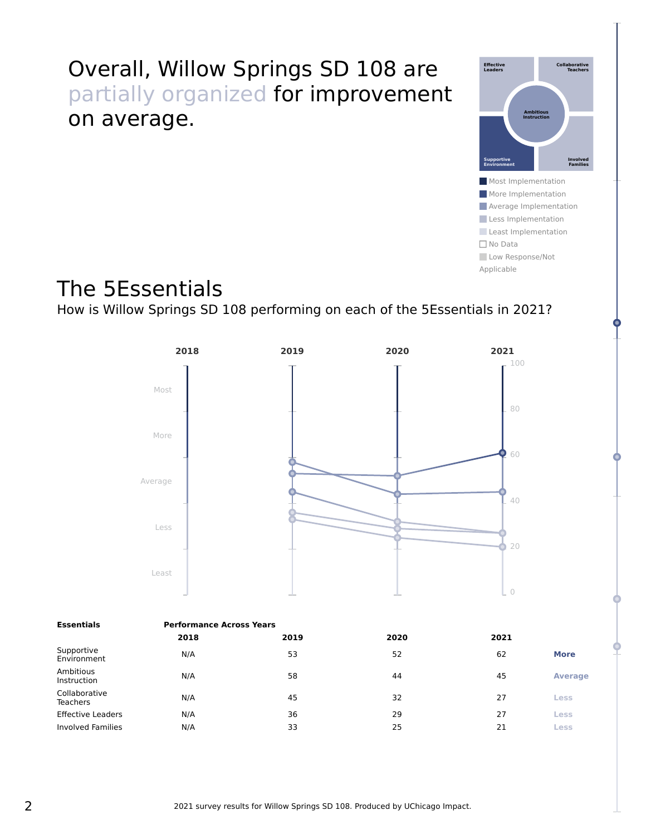# <span id="page-1-0"></span>Overall, Willow Springs SD 108 are partially organized for improvement on average.



Applicable

The 5Essentials

How is Willow Springs SD 108 performing on each of the 5Essentials in 2021?



| <b>Essentials</b>                | <b>Performance Across Years</b> |      |      |      |                |  |  |
|----------------------------------|---------------------------------|------|------|------|----------------|--|--|
|                                  | 2018                            | 2019 | 2020 | 2021 |                |  |  |
| Supportive<br>Environment        | N/A                             | 53   | 52   | 62   | <b>More</b>    |  |  |
| Ambitious<br>Instruction         | N/A                             | 58   | 44   | 45   | <b>Average</b> |  |  |
| Collaborative<br><b>Teachers</b> | N/A                             | 45   | 32   | 27   | Less           |  |  |
| <b>Effective Leaders</b>         | N/A                             | 36   | 29   | 27   | Less           |  |  |
| <b>Involved Families</b>         | N/A                             | 33   | 25   | 21   | Less           |  |  |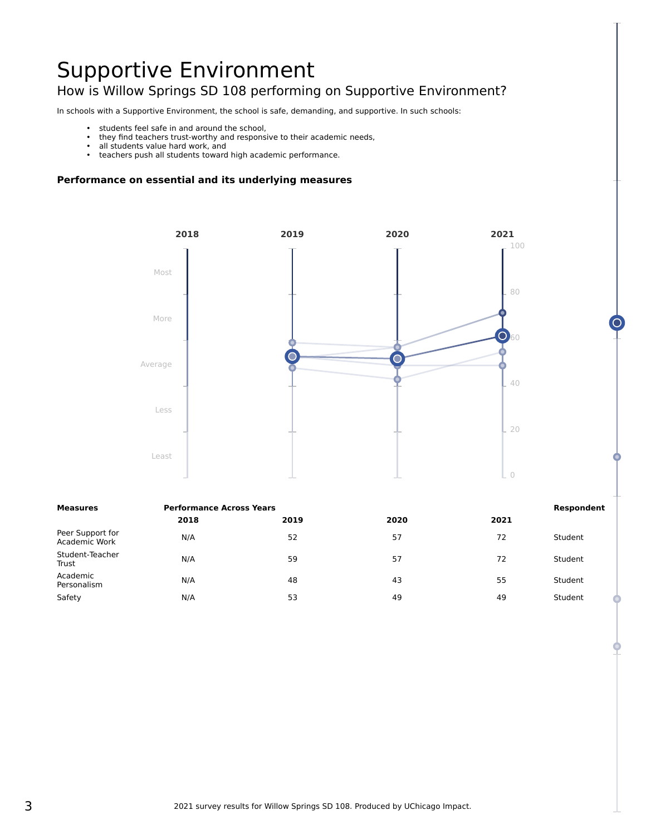# <span id="page-2-0"></span>Supportive Environment How is Willow Springs SD 108 performing on Supportive Environment?

In schools with a Supportive Environment, the school is safe, demanding, and supportive. In such schools:

- students feel safe in and around the school,
- they find teachers trust-worthy and responsive to their academic needs,
- all students value hard work, and<br>• teachers nush all students toward
- teachers push all students toward high academic performance.



| <b>Performance Across Years</b><br>Measures |      |      |      |      | Respondent |
|---------------------------------------------|------|------|------|------|------------|
|                                             | 2018 | 2019 | 2020 | 2021 |            |
| Peer Support for<br>Academic Work           | N/A  | 52   | 57   | 72   | Student    |
| Student-Teacher<br>Trust                    | N/A  | 59   | 57   | 72   | Student    |
| Academic<br>Personalism                     | N/A  | 48   | 43   | 55   | Student    |
| Safety                                      | N/A  | 53   | 49   | 49   | Student    |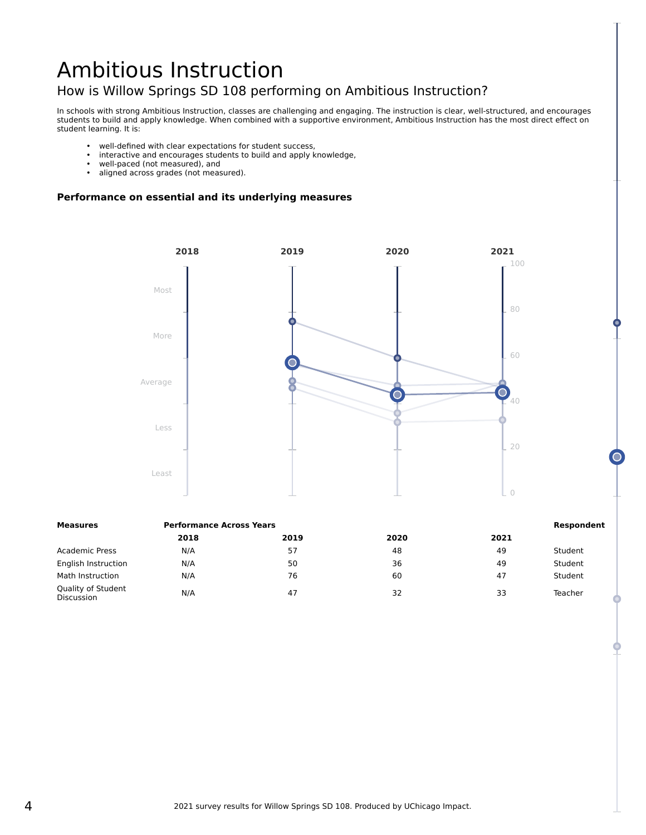# <span id="page-3-0"></span>Ambitious Instruction How is Willow Springs SD 108 performing on Ambitious Instruction?

In schools with strong Ambitious Instruction, classes are challenging and engaging. The instruction is clear, well-structured, and encourages students to build and apply knowledge. When combined with a supportive environment, Ambitious Instruction has the most direct effect on student learning. It is:

- well-defined with clear expectations for student success,<br>• interactive and encourages students to build and annly k
- interactive and encourages students to build and apply knowledge,
- well-paced (not measured), and<br>• aligned across grades (not measured)
- aligned across grades (not measured).



| Measures                         | <b>Performance Across Years</b> | Respondent |      |      |         |
|----------------------------------|---------------------------------|------------|------|------|---------|
|                                  | 2018                            | 2019       | 2020 | 2021 |         |
| <b>Academic Press</b>            | N/A                             | 57         | 48   | 49   | Student |
| English Instruction              | N/A                             | 50         | 36   | 49   | Student |
| Math Instruction                 | N/A                             | 76         | 60   | 47   | Student |
| Quality of Student<br>Discussion | N/A                             | 47         | 32   | 33   | Teacher |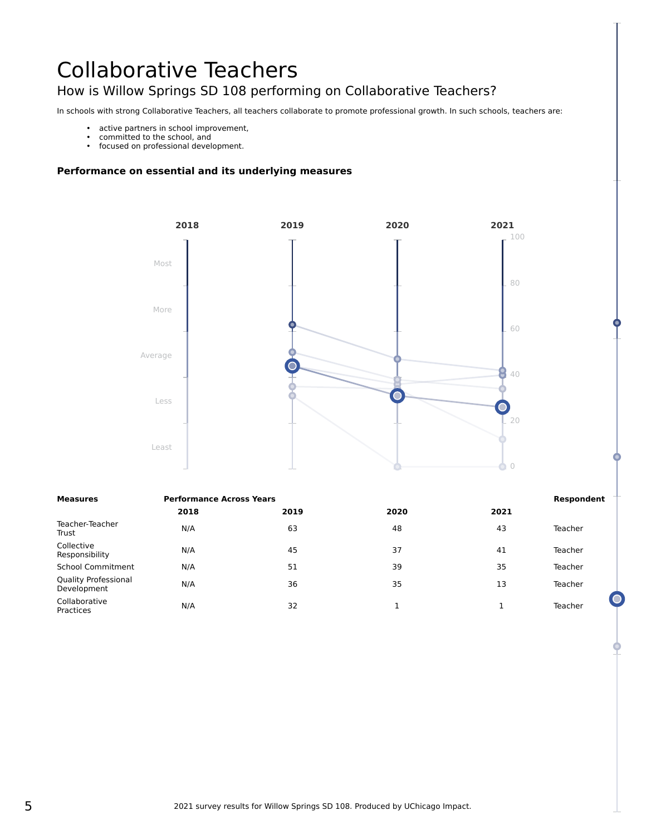# <span id="page-4-0"></span>Collaborative Teachers How is Willow Springs SD 108 performing on Collaborative Teachers?

In schools with strong Collaborative Teachers, all teachers collaborate to promote professional growth. In such schools, teachers are:

- active partners in school improvement,
- committed to the school, and
- focused on professional development.



| <b>Measures</b>                            | <b>Performance Across Years</b> |      |      |      |         |
|--------------------------------------------|---------------------------------|------|------|------|---------|
|                                            | 2018                            | 2019 | 2020 | 2021 |         |
| Teacher-Teacher<br>Trust                   | N/A                             | 63   | 48   | 43   | Teacher |
| Collective<br>Responsibility               | N/A                             | 45   | 37   | 41   | Teacher |
| <b>School Commitment</b>                   | N/A                             | 51   | 39   | 35   | Teacher |
| <b>Quality Professional</b><br>Development | N/A                             | 36   | 35   | 13   | Teacher |
| Collaborative<br>Practices                 | N/A                             | 32   |      |      | Teacher |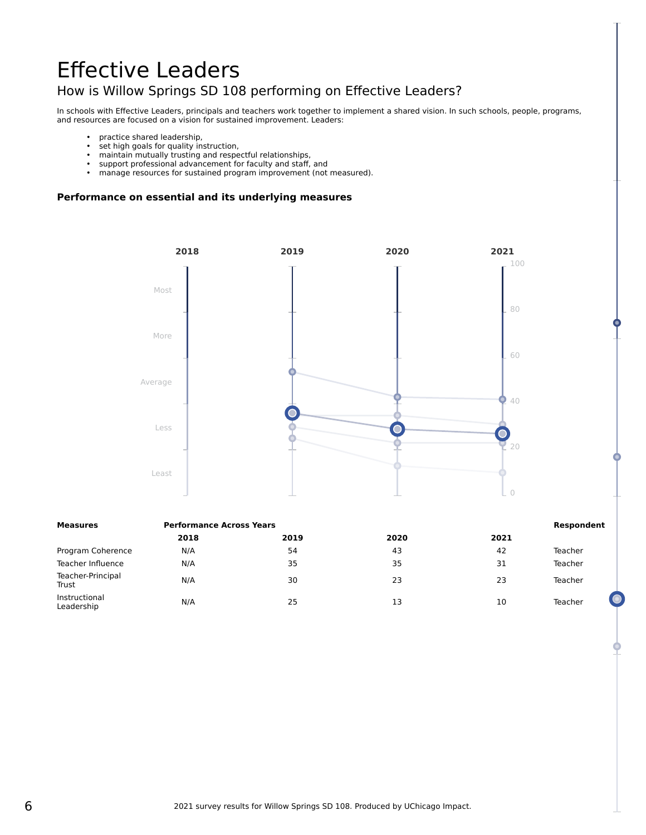# <span id="page-5-0"></span>Effective Leaders How is Willow Springs SD 108 performing on Effective Leaders?

In schools with Effective Leaders, principals and teachers work together to implement a shared vision. In such schools, people, programs, and resources are focused on a vision for sustained improvement. Leaders:

- practice shared leadership,<br>• set high goals for quality in
- set high goals for quality instruction,
- maintain mutually trusting and respectful relationships,
- support professional advancement for faculty and staff, and
- manage resources for sustained program improvement (not measured).



| Measures                    | <b>Performance Across Years</b> | Respondent |      |      |         |
|-----------------------------|---------------------------------|------------|------|------|---------|
|                             | 2018                            | 2019       | 2020 | 2021 |         |
| Program Coherence           | N/A                             | 54         | 43   | 42   | Teacher |
| Teacher Influence           | N/A                             | 35         | 35   | 31   | Teacher |
| Teacher-Principal<br>Trust  | N/A                             | 30         | 23   | 23   | Teacher |
| Instructional<br>Leadership | N/A                             | 25         | 13   | 10   | Teacher |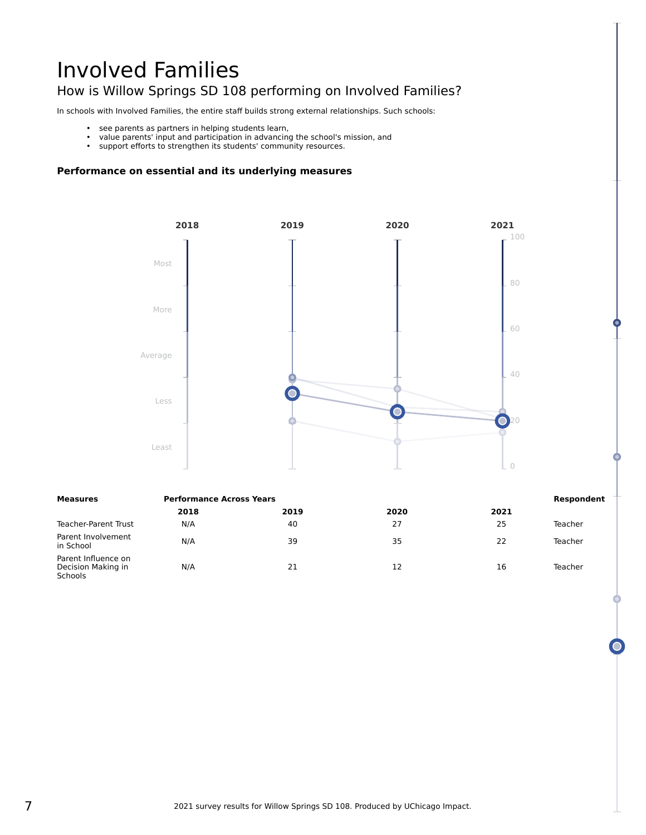# <span id="page-6-0"></span>Involved Families How is Willow Springs SD 108 performing on Involved Families?

In schools with Involved Families, the entire staff builds strong external relationships. Such schools:

- see parents as partners in helping students learn,
- value parents' input and participation in advancing the school's mission, and
- support efforts to strengthen its students' community resources.



| Measures                                                    | <b>Performance Across Years</b> | Respondent |      |      |         |
|-------------------------------------------------------------|---------------------------------|------------|------|------|---------|
|                                                             | 2018                            | 2019       | 2020 | 2021 |         |
| Teacher-Parent Trust                                        | N/A                             | 40         | 27   | 25   | Teacher |
| Parent Involvement<br>in School                             | N/A                             | 39         | 35   | 22   | Teacher |
| Parent Influence on<br>Decision Making in<br><b>Schools</b> | N/A                             | 21         | 12   | 16   | Teacher |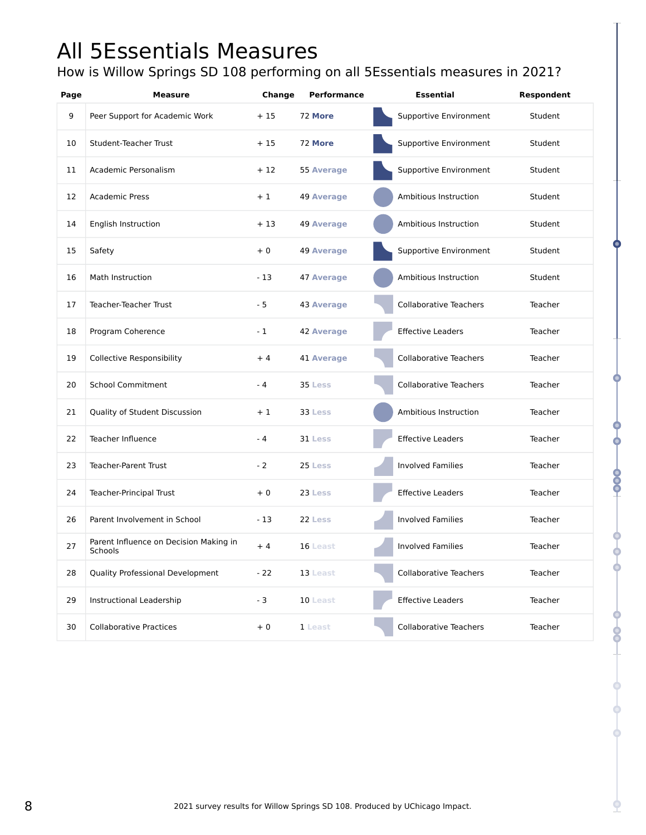# <span id="page-7-0"></span>All 5Essentials Measures

How is Willow Springs SD 108 performing on all 5Essentials measures in 2021?

| Page | <b>Measure</b>                                    | Change | Performance       | <b>Essential</b>              | Respondent |
|------|---------------------------------------------------|--------|-------------------|-------------------------------|------------|
| 9    | Peer Support for Academic Work                    | $+15$  | 72 More           | Supportive Environment        | Student    |
| 10   | <b>Student-Teacher Trust</b>                      | $+15$  | 72 More           | Supportive Environment        | Student    |
| 11   | Academic Personalism                              | $+12$  | 55 Average        | Supportive Environment        | Student    |
| 12   | <b>Academic Press</b>                             | $+1$   | <b>49 Average</b> | Ambitious Instruction         | Student    |
| 14   | English Instruction                               | + 13   | <b>49 Average</b> | Ambitious Instruction         | Student    |
| 15   | Safety                                            | $+0$   | <b>49 Average</b> | Supportive Environment        | Student    |
| 16   | Math Instruction                                  | $-13$  | <b>47 Average</b> | Ambitious Instruction         | Student    |
| 17   | Teacher-Teacher Trust                             | $-5$   | <b>43 Average</b> | <b>Collaborative Teachers</b> | Teacher    |
| 18   | Program Coherence                                 | $-1$   | <b>42 Average</b> | <b>Effective Leaders</b>      | Teacher    |
| 19   | <b>Collective Responsibility</b>                  | $+4$   | <b>41 Average</b> | <b>Collaborative Teachers</b> | Teacher    |
| 20   | <b>School Commitment</b>                          | $-4$   | 35 Less           | <b>Collaborative Teachers</b> | Teacher    |
| 21   | Quality of Student Discussion                     | $+1$   | 33 Less           | Ambitious Instruction         | Teacher    |
| 22   | Teacher Influence                                 | $-4$   | 31 Less           | <b>Effective Leaders</b>      | Teacher    |
| 23   | <b>Teacher-Parent Trust</b>                       | $-2$   | 25 Less           | <b>Involved Families</b>      | Teacher    |
| 24   | <b>Teacher-Principal Trust</b>                    | $+0$   | 23 Less           | <b>Effective Leaders</b>      | Teacher    |
| 26   | Parent Involvement in School                      | $-13$  | 22 Less           | <b>Involved Families</b>      | Teacher    |
| 27   | Parent Influence on Decision Making in<br>Schools | $+4$   | 16 Least          | <b>Involved Families</b>      | Teacher    |
| 28   | Quality Professional Development                  | $-22$  | 13 Least          | <b>Collaborative Teachers</b> | Teacher    |
| 29   | Instructional Leadership                          | $-3$   | 10 Least          | <b>Effective Leaders</b>      | Teacher    |
| 30   | <b>Collaborative Practices</b>                    | $+0$   | 1 Least           | <b>Collaborative Teachers</b> | Teacher    |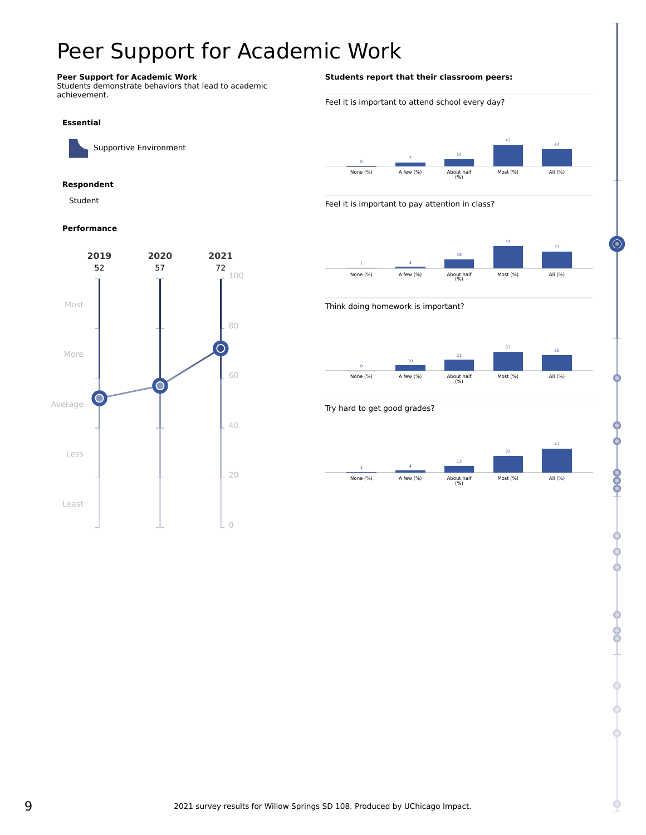# <span id="page-8-0"></span>Peer Support for Academic Work

# **Peer Support for Academic Work**

Students demonstrate behaviors that lead to academic achievement.

#### **Essential**

Supportive Environment

### **Respondent**

Student

#### **Performance**



### **Students report that their classroom peers:**

#### Feel it is important to attend school every day?



#### Feel it is important to pay attention in class?



#### Think doing homework is important?



#### Try hard to get good grades?



⊙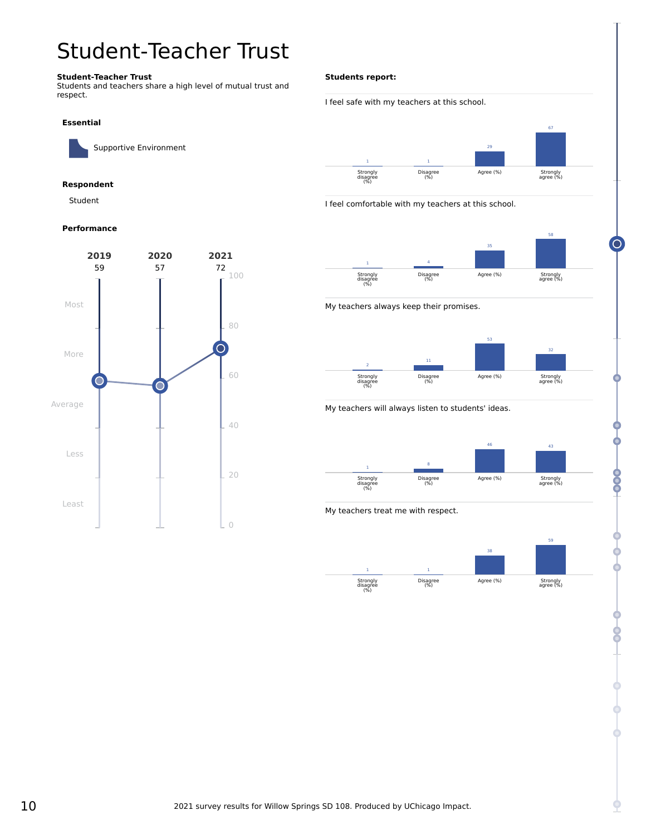# <span id="page-9-0"></span>Student-Teacher Trust

### **Student-Teacher Trust**

Students and teachers share a high level of mutual trust and respect.

#### **Essential**

Supportive Environment

### **Respondent**

Student

#### **Performance**



#### **Students report:**

## I feel safe with my teachers at this school.



I feel comfortable with my teachers at this school.



My teachers always keep their promises.



### My teachers will always listen to students' ideas.



My teachers treat me with respect.



 $\subset$ 

CO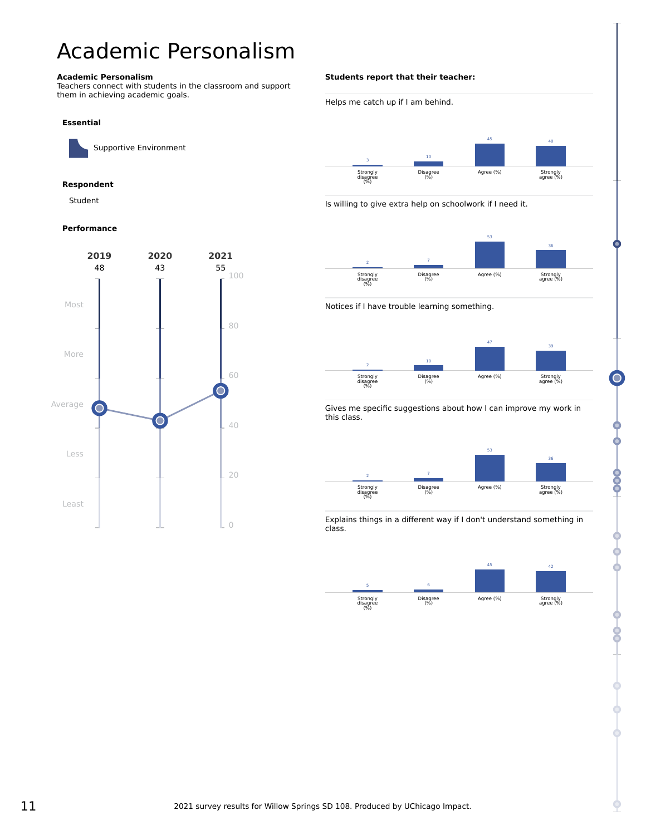# <span id="page-10-0"></span>Academic Personalism

#### **Academic Personalism**

Teachers connect with students in the classroom and support them in achieving academic goals.

#### **Essential**

Supportive Environment

### **Respondent**

Student

#### **Performance**



#### **Students report that their teacher:**





Is willing to give extra help on schoolwork if I need it.



Notices if I have trouble learning something.



Gives me specific suggestions about how I can improve my work in this class.



Explains things in a different way if I don't understand something in class.



8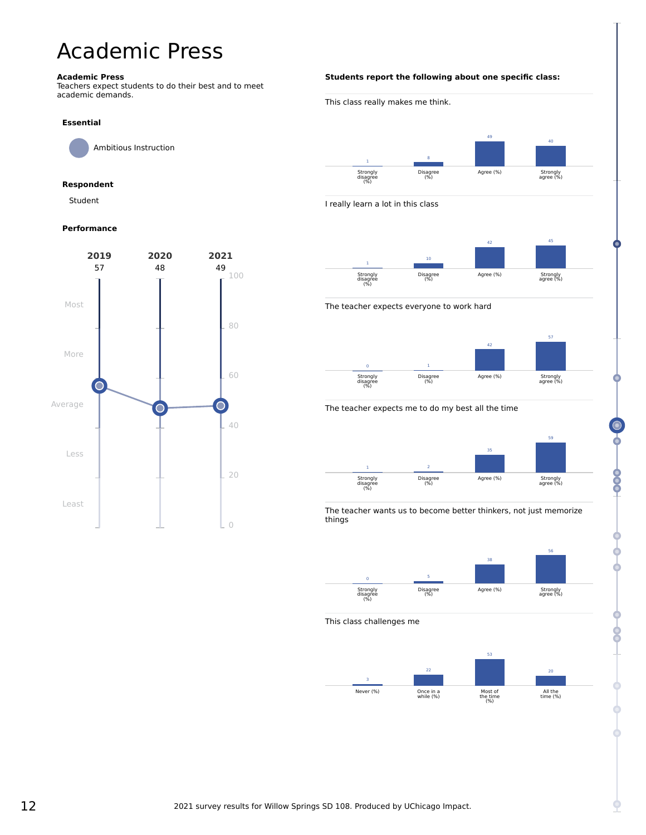# <span id="page-11-0"></span>Academic Press

#### **Academic Press**

Teachers expect students to do their best and to meet academic demands.

#### **Essential**

Ambitious Instruction

### **Respondent**

Student

### **Performance**



### **Students report the following about one specific class:**





The teacher wants us to become better thinkers, not just memorize things



This class challenges me



800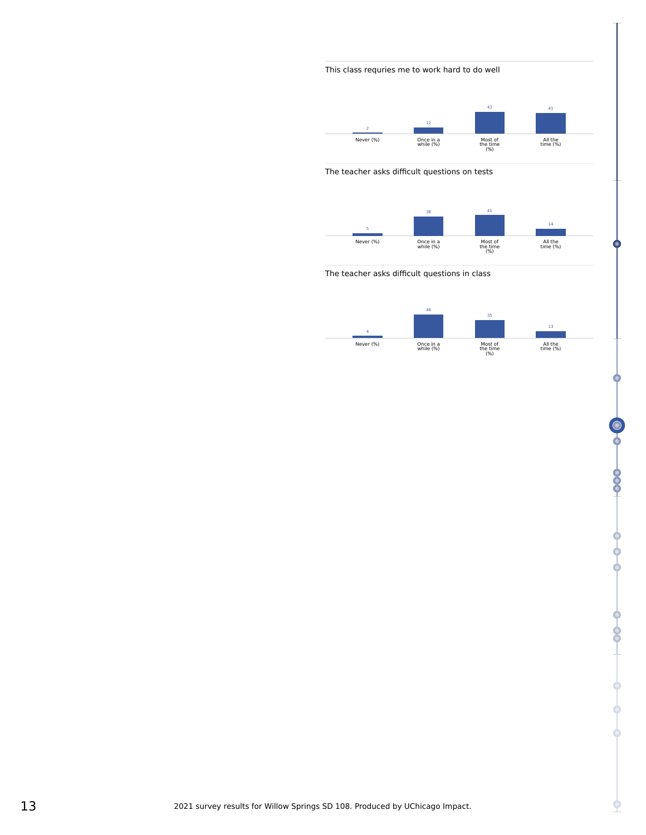# This class requries me to work hard to do well



### The teacher asks difficult questions on tests



The teacher asks difficult questions in class



ሳ

 $rac{6}{2}$ 

¢

የ **0**<br>0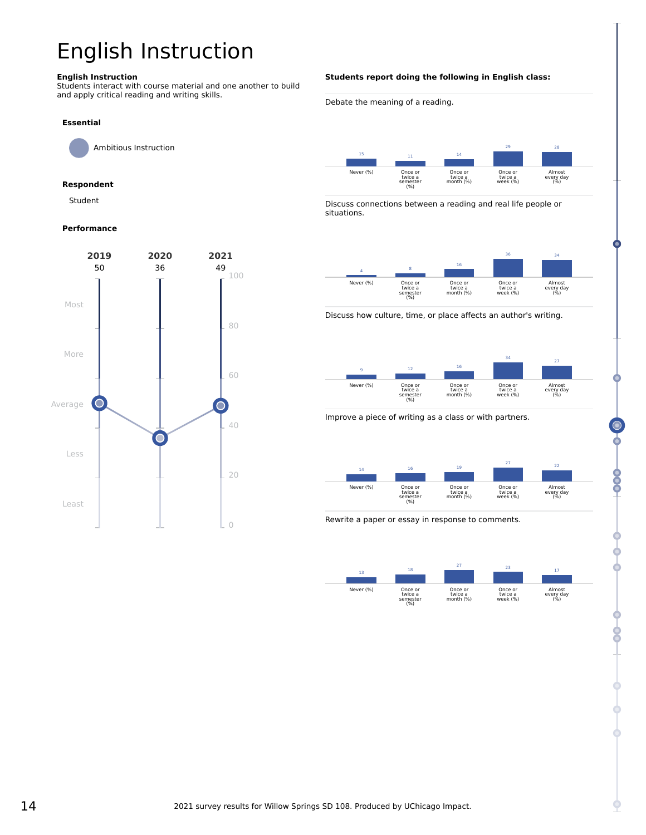# <span id="page-13-0"></span>English Instruction

#### **English Instruction**

Students interact with course material and one another to build and apply critical reading and writing skills.

#### **Essential**

Ambitious Instruction

# **Respondent**

Student

#### **Performance**



#### **Students report doing the following in English class:**

Debate the meaning of a reading.



Discuss connections between a reading and real life people or situations.



Discuss how culture, time, or place affects an author's writing.



Improve a piece of writing as a class or with partners.



Rewrite a paper or essay in response to comments.



8

**OOO**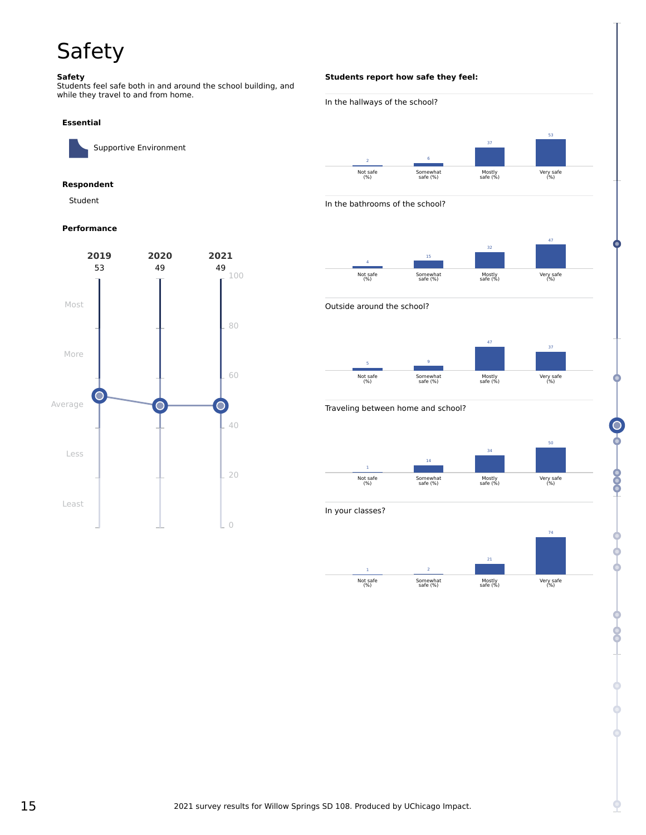# <span id="page-14-0"></span>Safety

#### **Safety**

Students feel safe both in and around the school building, and while they travel to and from home.

#### **Essential**

Supportive Environment

### **Respondent**

Student

### **Performance**



## **Students report how safe they feel:**







Outside around the school?



#### Traveling between home and school?



In your classes?



8

8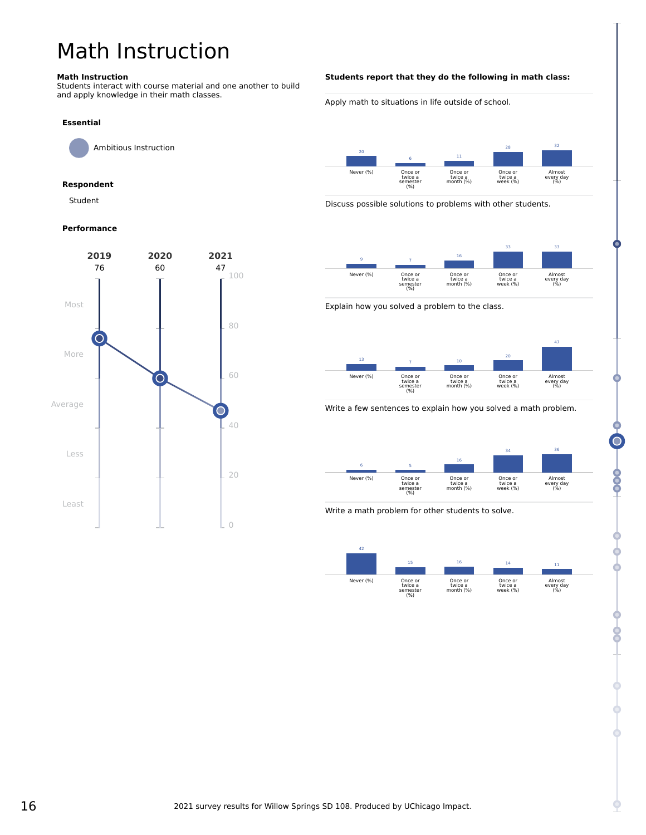# <span id="page-15-0"></span>Math Instruction

#### **Math Instruction**

Students interact with course material and one another to build and apply knowledge in their math classes.

### **Essential**

Ambitious Instruction

# **Respondent**

Student

### **Performance**



### **Students report that they do the following in math class:**

Apply math to situations in life outside of school.



Discuss possible solutions to problems with other students.



Explain how you solved a problem to the class.



Write a few sentences to explain how you solved a math problem.



Write a math problem for other students to solve.



**990**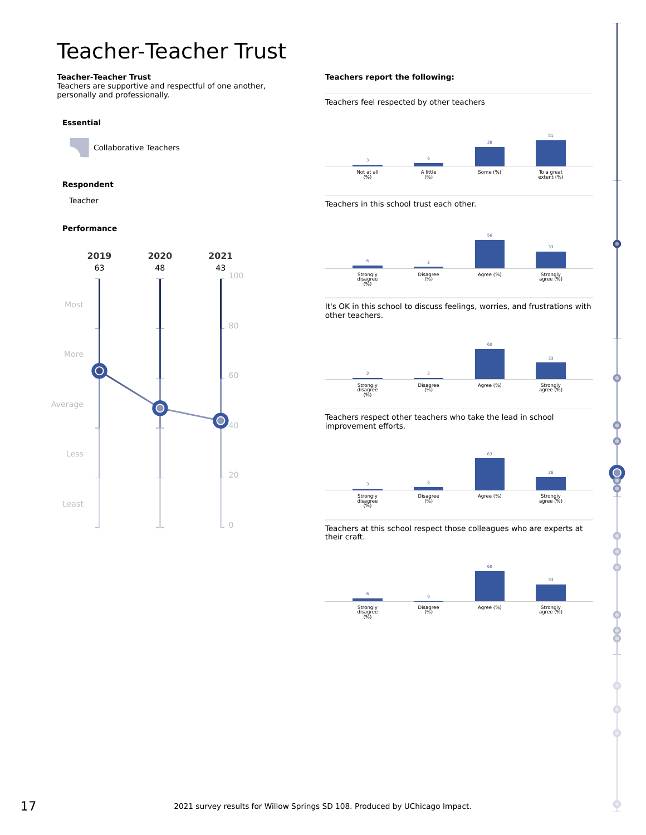# <span id="page-16-0"></span>Teacher-Teacher Trust

#### **Teacher-Teacher Trust**

Teachers are supportive and respectful of one another, personally and professionally.

#### **Essential**

Collaborative Teachers

## **Respondent**

Teacher

### **Performance**



## **Teachers report the following:**

#### Teachers feel respected by other teachers 3 Not at all (%) 6 A little (%) 38 Some (%) 51 To a great extent (%)

Teachers in this school trust each other.



It's OK in this school to discuss feelings, worries, and frustrations with other teachers.



Teachers respect other teachers who take the lead in school improvement efforts.



Teachers at this school respect those colleagues who are experts at their craft.

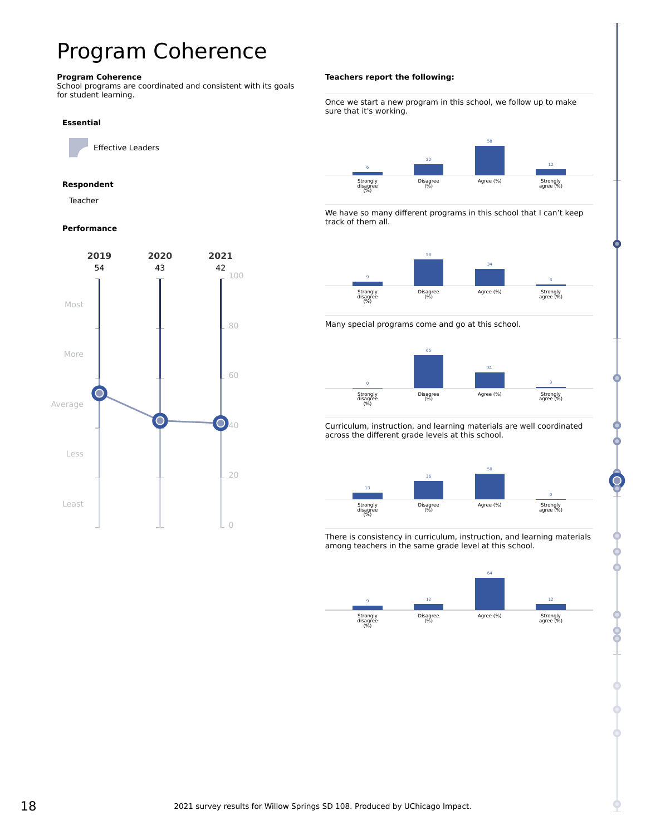# <span id="page-17-0"></span>Program Coherence

#### **Program Coherence**

School programs are coordinated and consistent with its goals for student learning.

#### **Essential**

Effective Leaders

### **Respondent**

Teacher

#### **Performance**



#### **Teachers report the following:**

#### Once we start a new program in this school, we follow up to make sure that it's working.



We have so many different programs in this school that I can't keep track of them all.







Curriculum, instruction, and learning materials are well coordinated across the different grade levels at this school.



There is consistency in curriculum, instruction, and learning materials among teachers in the same grade level at this school.

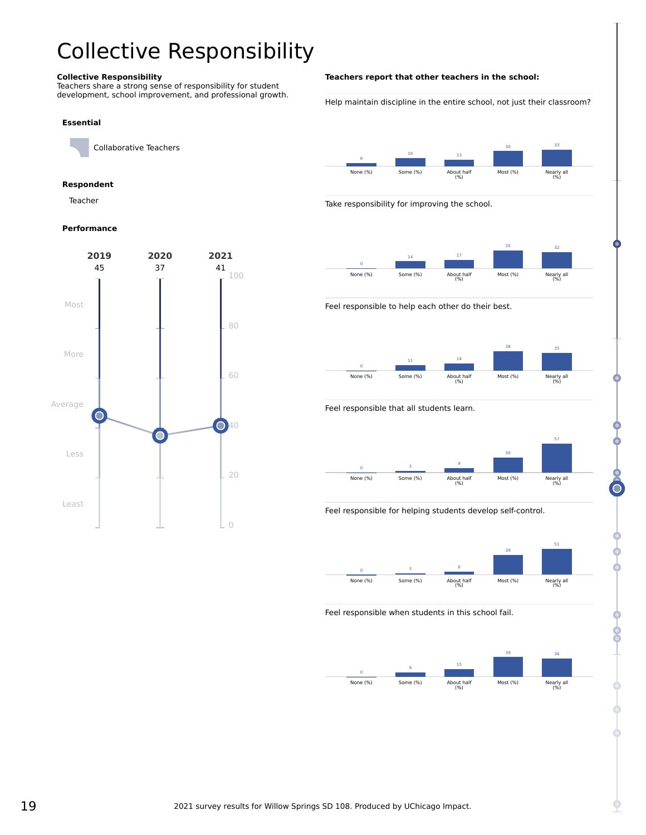# <span id="page-18-0"></span>Collective Responsibility

#### **Collective Responsibility**

Teachers share a strong sense of responsibility for student development, school improvement, and professional growth.

#### **Essential**

Collaborative Teachers

### **Respondent**

Teacher

### **Performance**



#### **Teachers report that other teachers in the school:**

Help maintain discipline in the entire school, not just their classroom?



Take responsibility for improving the school.



Feel responsible to help each other do their best.



Feel responsible that all students learn.



Feel responsible for helping students develop self-control.



Feel responsible when students in this school fail.

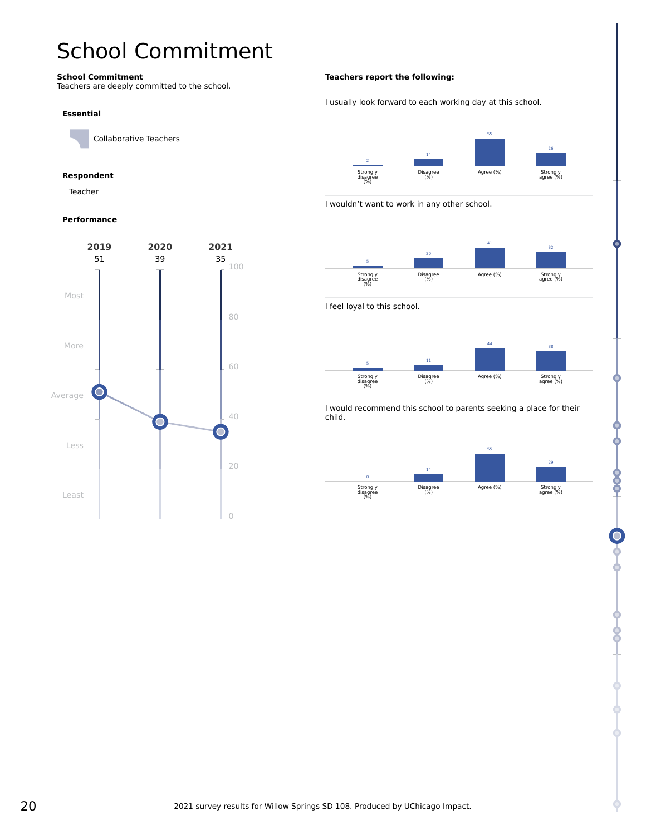# <span id="page-19-0"></span>School Commitment

#### **School Commitment**

Teachers are deeply committed to the school.

#### **Essential**

Collaborative Teachers

# **Respondent**

Teacher

### **Performance**



## **Teachers report the following:**





I wouldn't want to work in any other school.



I feel loyal to this school.



I would recommend this school to parents seeking a place for their child.

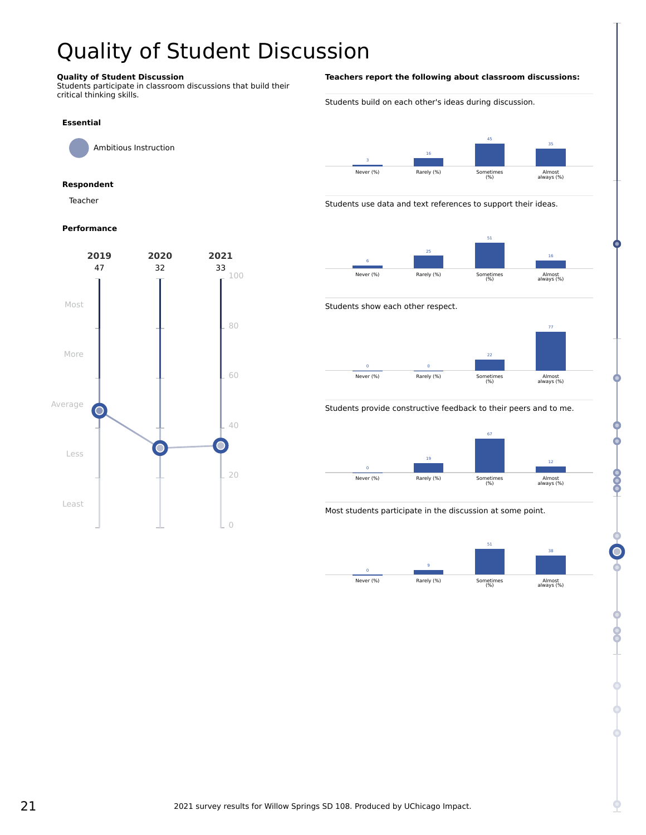# <span id="page-20-0"></span>Quality of Student Discussion

### **Quality of Student Discussion**

Students participate in classroom discussions that build their critical thinking skills.

# **Essential**

Ambitious Instruction

### **Respondent**

Teacher

#### **Performance**



#### **Teachers report the following about classroom discussions:**

Students build on each other's ideas during discussion.



Students use data and text references to support their ideas.







Students provide constructive feedback to their peers and to me.



Most students participate in the discussion at some point.



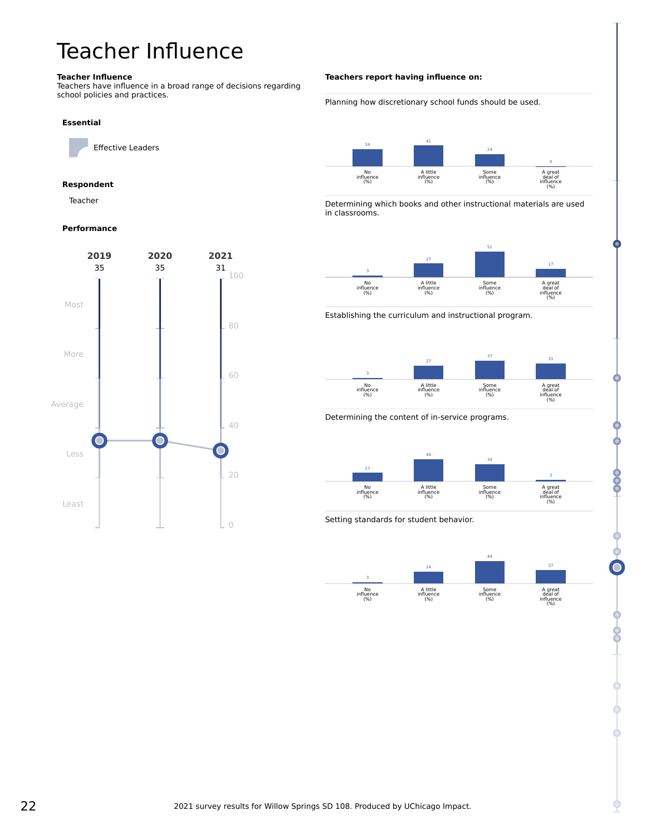# <span id="page-21-0"></span>Teacher Influence

#### **Teacher Influence**

Teachers have influence in a broad range of decisions regarding school policies and practices.

#### **Essential**

Effective Leaders

### **Respondent**

Teacher

#### **Performance**



### **Teachers report having influence on:**

Planning how discretionary school funds should be used.



Determining which books and other instructional materials are used in classrooms.



Establishing the curriculum and instructional program.



Determining the content of in-service programs.



Setting standards for student behavior.



**900** 

8<br>9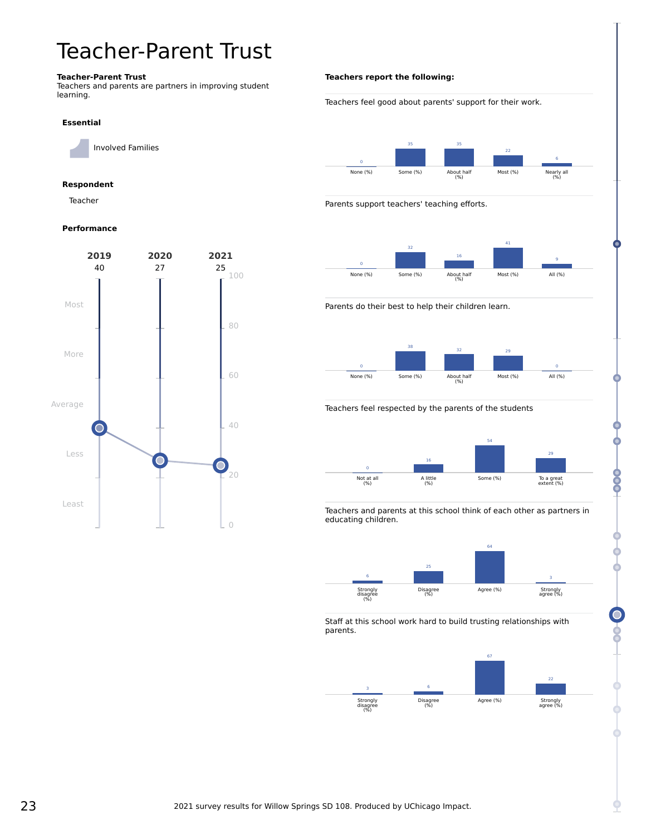# <span id="page-22-0"></span>Teacher-Parent Trust

#### **Teacher-Parent Trust**

Teachers and parents are partners in improving student learning.

#### **Essential**

Involved Families

### **Respondent**

Teacher

#### **Performance**



# **Teachers report the following:**

Teachers feel good about parents' support for their work.



Parents support teachers' teaching efforts.



Parents do their best to help their children learn.



#### Teachers feel respected by the parents of the students



Teachers and parents at this school think of each other as partners in educating children.



Staff at this school work hard to build trusting relationships with parents.

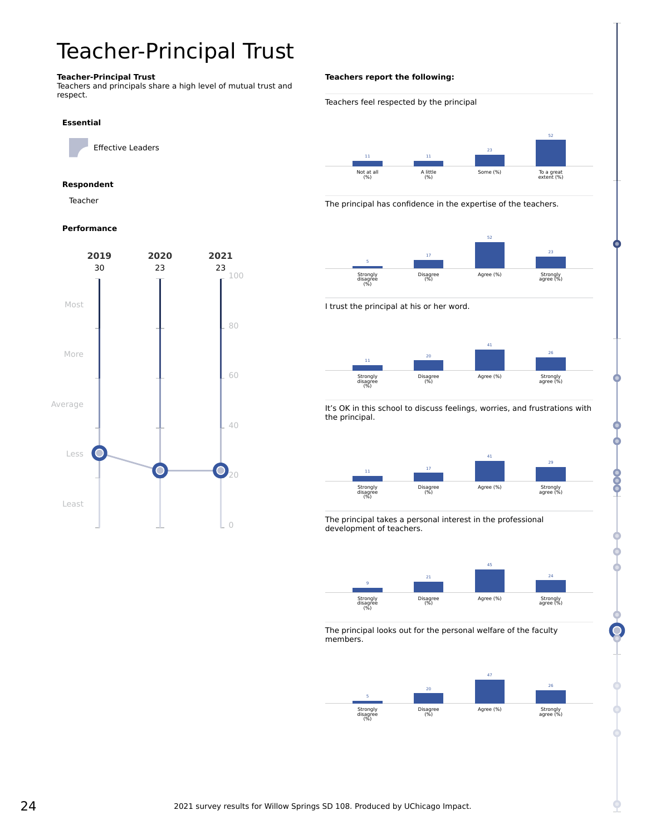# <span id="page-23-0"></span>Teacher-Principal Trust

### **Teacher-Principal Trust**

Teachers and principals share a high level of mutual trust and respect.

#### **Essential**

Effective Leaders

### **Respondent**

Teacher

### **Performance**



#### **Teachers report the following:**

#### Teachers feel respected by the principal



The principal has confidence in the expertise of the teachers.



I trust the principal at his or her word.



It's OK in this school to discuss feelings, worries, and frustrations with the principal.



The principal takes a personal interest in the professional development of teachers.



The principal looks out for the personal welfare of the faculty members.



800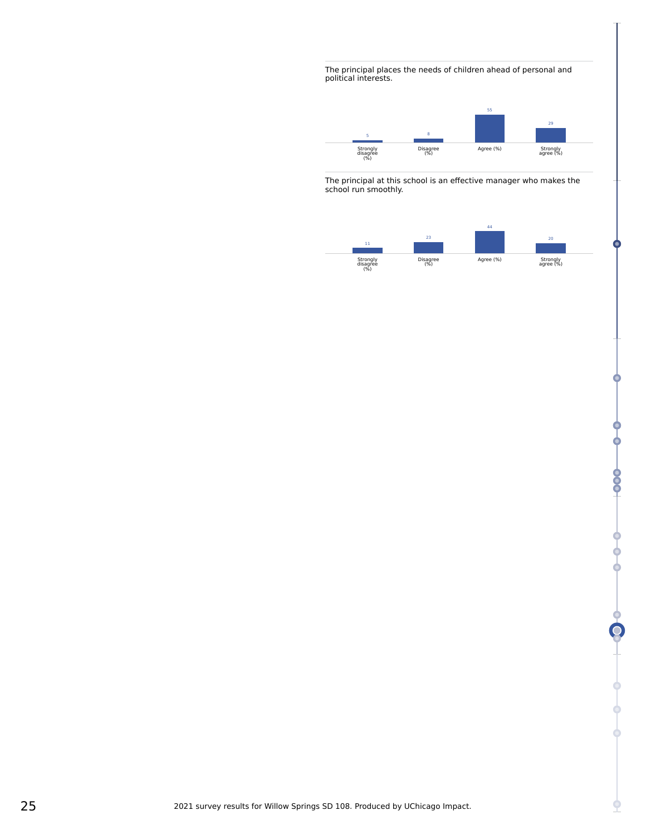The principal places the needs of children ahead of personal and political interests.



The principal at this school is an effective manager who makes the school run smoothly.



-000+

¢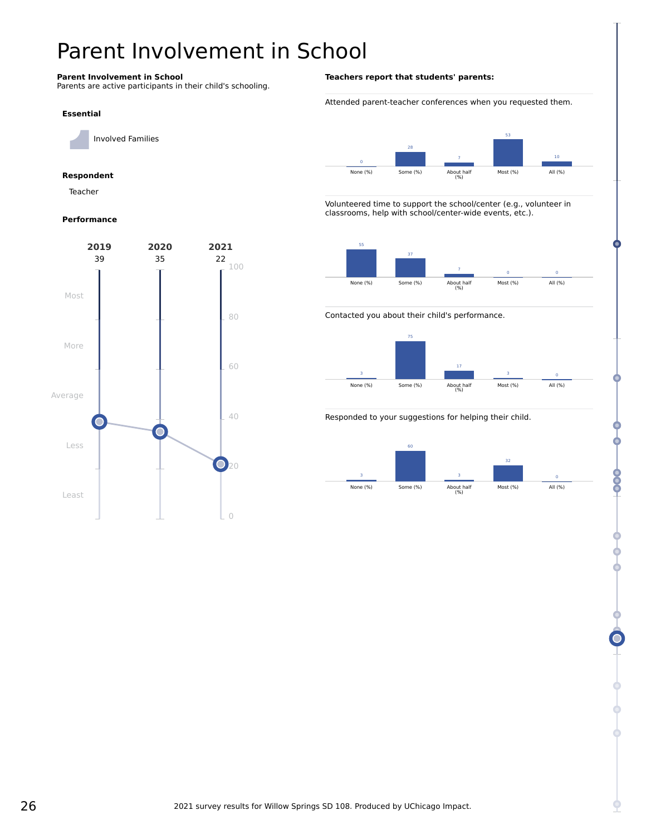# <span id="page-25-0"></span>Parent Involvement in School

### **Parent Involvement in School**

Parents are active participants in their child's schooling.

#### **Essential**

Involved Families

## **Respondent**

Teacher

### **Performance**



### **Teachers report that students' parents:**

Attended parent-teacher conferences when you requested them.



Volunteered time to support the school/center (e.g., volunteer in classrooms, help with school/center-wide events, etc.).



Contacted you about their child's performance.



### Responded to your suggestions for helping their child.



**990**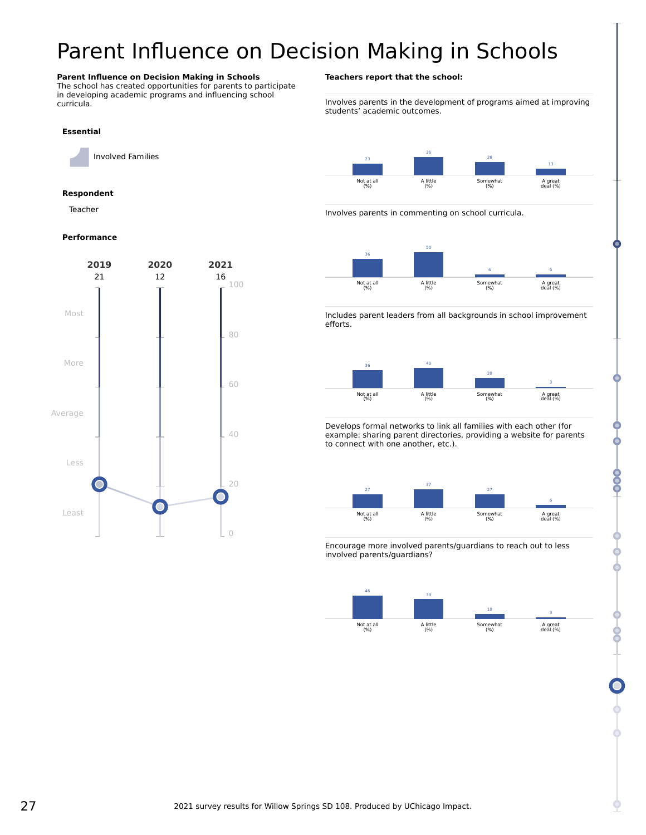# <span id="page-26-0"></span>Parent Influence on Decision Making in Schools

#### **Parent Influence on Decision Making in Schools**

The school has created opportunities for parents to participate in developing academic programs and influencing school curricula.

### **Essential**

Involved Families

#### **Respondent**

Teacher

#### **Performance**



#### **Teachers report that the school:**

Involves parents in the development of programs aimed at improving students' academic outcomes.



Involves parents in commenting on school curricula.



Includes parent leaders from all backgrounds in school improvement efforts.



Develops formal networks to link all families with each other (for example: sharing parent directories, providing a website for parents to connect with one another, etc.).



Encourage more involved parents/guardians to reach out to less involved parents/guardians?



**OOO**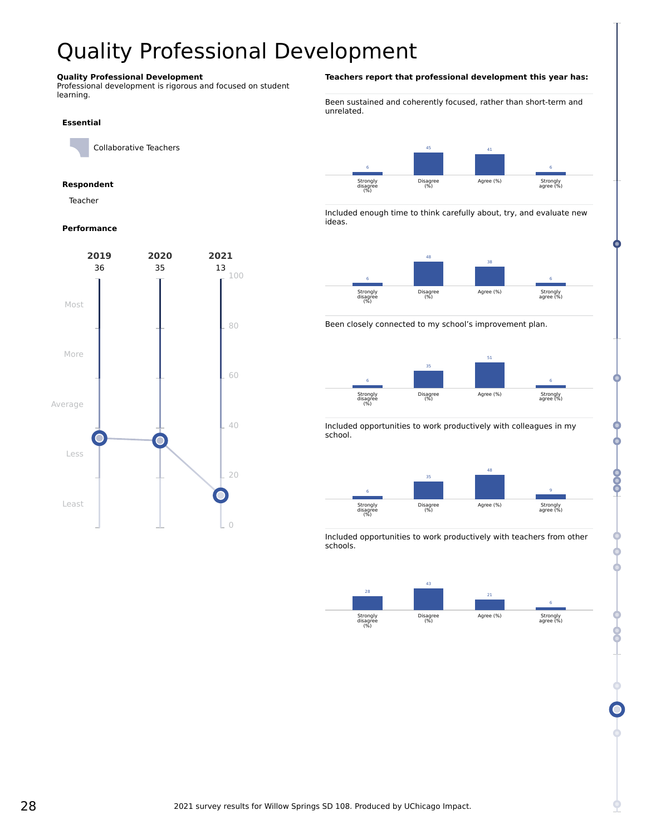# <span id="page-27-0"></span>Quality Professional Development

### **Quality Professional Development**

Professional development is rigorous and focused on student learning.

#### **Essential**

Collaborative Teachers

### **Respondent**

Teacher

#### **Performance**



#### **Teachers report that professional development this year has:**

Been sustained and coherently focused, rather than short-term and unrelated.



Included enough time to think carefully about, try, and evaluate new ideas.







Included opportunities to work productively with colleagues in my school.



Included opportunities to work productively with teachers from other schools.



8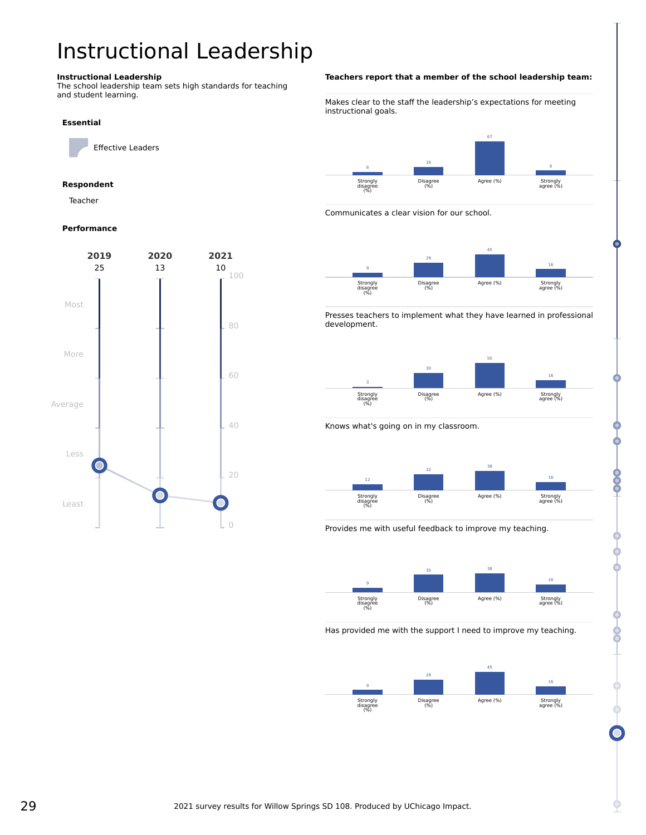# <span id="page-28-0"></span>Instructional Leadership

#### **Instructional Leadership**

The school leadership team sets high standards for teaching and student learning.

#### **Essential**

Effective Leaders

### **Respondent**

Teacher

### **Performance**



#### **Teachers report that a member of the school leadership team:**

Makes clear to the staff the leadership's expectations for meeting instructional goals.



Communicates a clear vision for our school.



Presses teachers to implement what they have learned in professional development.



Knows what's going on in my classroom.



Provides me with useful feedback to improve my teaching.



Has provided me with the support I need to improve my teaching.



o.o.o

8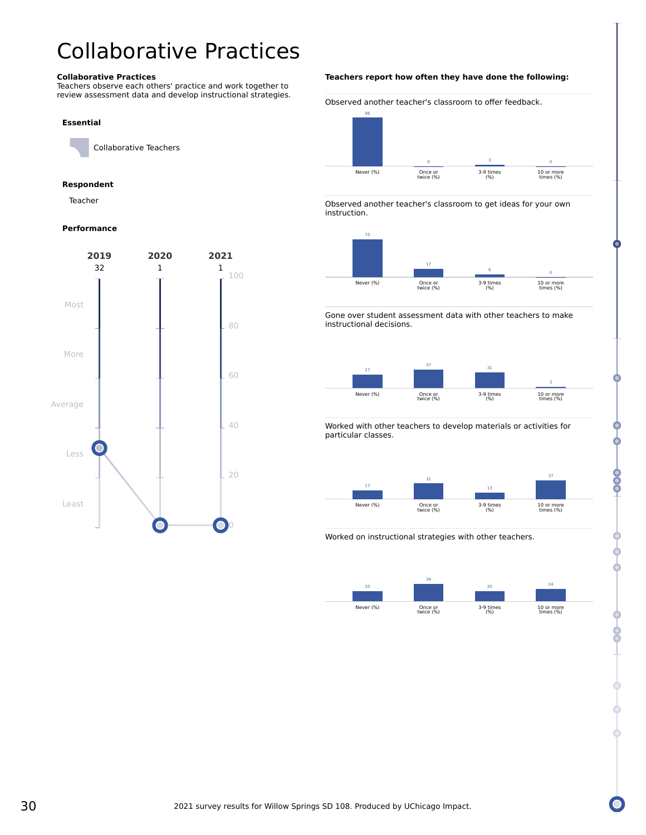# <span id="page-29-0"></span>Collaborative Practices

#### **Collaborative Practices**

Teachers observe each others' practice and work together to review assessment data and develop instructional strategies.

#### **Essential**

Collaborative Teachers

#### **Respondent**

Teacher

#### **Performance**



#### **Teachers report how often they have done the following:**

Observed another teacher's classroom to offer feedback.



Observed another teacher's classroom to get ideas for your own instruction.



Gone over student assessment data with other teachers to make instructional decisions.



Worked with other teachers to develop materials or activities for particular classes.



80

Worked on instructional strategies with other teachers.

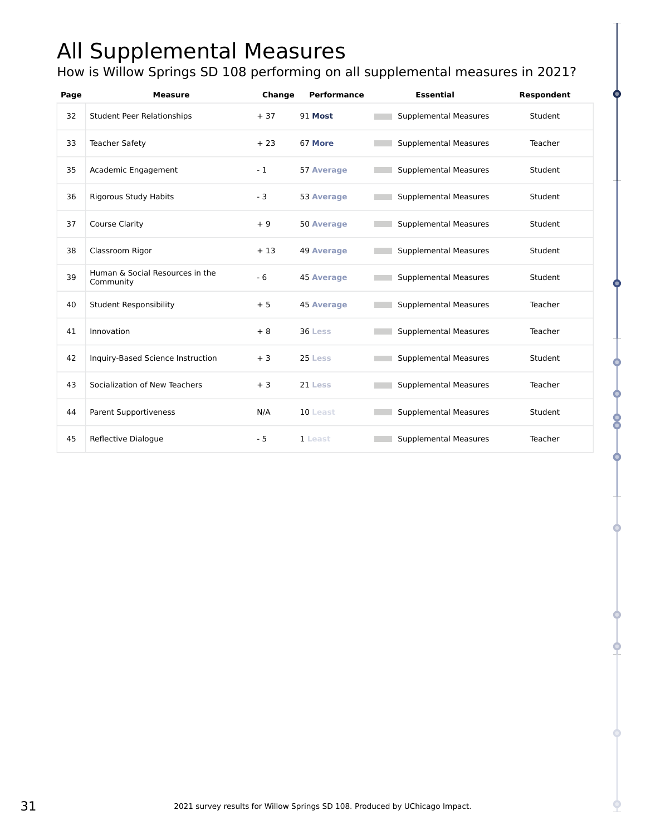# <span id="page-30-0"></span>All Supplemental Measures

How is Willow Springs SD 108 performing on all supplemental measures in 2021?

| Page | <b>Measure</b>                               | Change | <b>Performance</b> | <b>Essential</b>             | Respondent |
|------|----------------------------------------------|--------|--------------------|------------------------------|------------|
| 32   | <b>Student Peer Relationships</b>            | $+37$  | 91 Most            | <b>Supplemental Measures</b> | Student    |
| 33   | <b>Teacher Safety</b>                        | $+23$  | 67 More            | <b>Supplemental Measures</b> | Teacher    |
| 35   | Academic Engagement                          | $-1$   | 57 Average         | <b>Supplemental Measures</b> | Student    |
| 36   | <b>Rigorous Study Habits</b>                 | $-3$   | <b>53 Average</b>  | <b>Supplemental Measures</b> | Student    |
| 37   | <b>Course Clarity</b>                        | $+9$   | <b>50 Average</b>  | <b>Supplemental Measures</b> | Student    |
| 38   | Classroom Rigor                              | $+13$  | <b>49 Average</b>  | <b>Supplemental Measures</b> | Student    |
| 39   | Human & Social Resources in the<br>Community | $-6$   | <b>45 Average</b>  | <b>Supplemental Measures</b> | Student    |
| 40   | <b>Student Responsibility</b>                | $+5$   | <b>45 Average</b>  | <b>Supplemental Measures</b> | Teacher    |
| 41   | Innovation                                   | $+8$   | 36 Less            | <b>Supplemental Measures</b> | Teacher    |
| 42   | Inquiry-Based Science Instruction            | $+3$   | 25 Less            | <b>Supplemental Measures</b> | Student    |
| 43   | Socialization of New Teachers                | $+3$   | 21 Less            | <b>Supplemental Measures</b> | Teacher    |
| 44   | <b>Parent Supportiveness</b>                 | N/A    | 10 Least           | <b>Supplemental Measures</b> | Student    |
| 45   | Reflective Dialogue                          | $-5$   | 1 Least            | <b>Supplemental Measures</b> | Teacher    |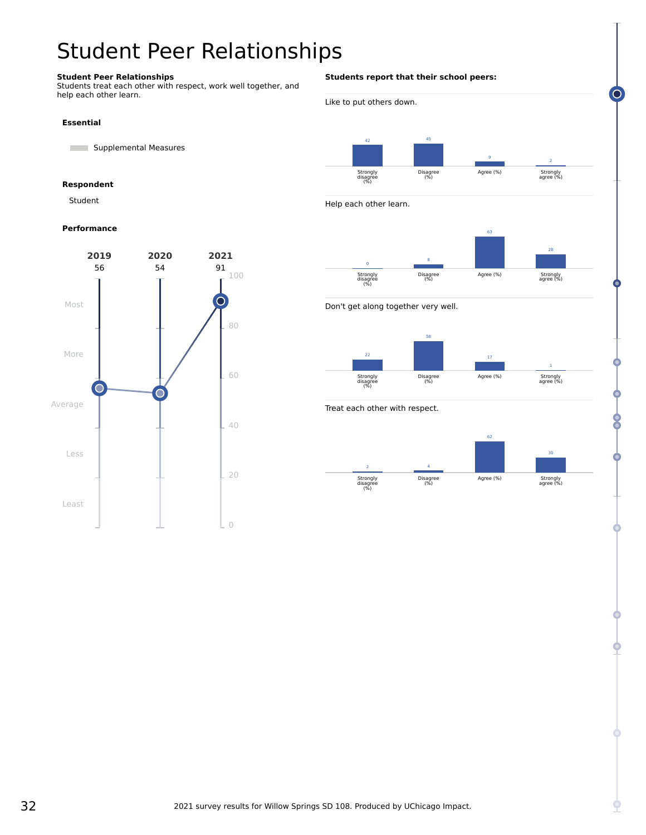# <span id="page-31-0"></span>Student Peer Relationships

### **Student Peer Relationships**

Students treat each other with respect, work well together, and help each other learn.

#### **Essential**

**Supplemental Measures** 

#### **Respondent**

Student

#### **Performance**



### **Students report that their school peers:**



Treat each other with respect.

Strongly disagree (%)



Agree (%)

Strongly agree (%)

Disagree (%)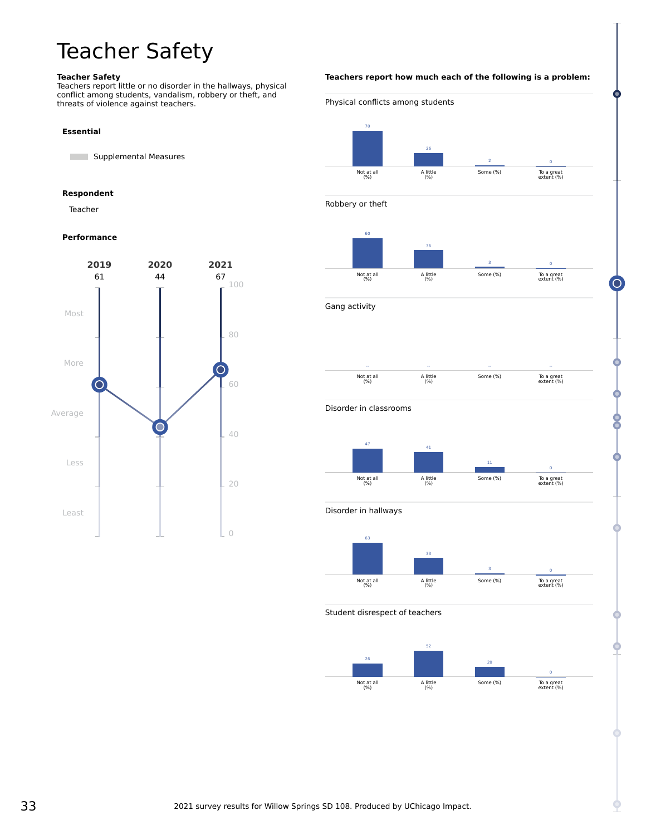# <span id="page-32-0"></span>Teacher Safety

#### **Teacher Safety**

Teachers report little or no disorder in the hallways, physical conflict among students, vandalism, robbery or theft, and threats of violence against teachers.

### **Essential**

**Supplemental Measures** 

#### **Respondent**

Teacher

## **Performance**



**Teachers report how much each of the following is a problem:** Physical conflicts among students 70 Not at all (%) 26 A little (%) 2 Some (%) 0 To a great extent (%) Robbery or theft 60 Not at all (%) 36 A little (%) 3 Some (%) 0 To a great extent (%) Gang activity -- Not at all (%) -- A little (%) -- Some (%) -- To a great extent (%) Disorder in classrooms 47 Not at all (%) 41 A little (%) 11 Some (%) 0 To a great extent (%) Disorder in hallways 63 Not at all (%) 33 A little (%) 3 Some (%) 0 To a great extent (%) Student disrespect of teachers .<br>26 52 20

Not at all (%)

A little (%)

Some (%)

0 To a great extent (%) ⊂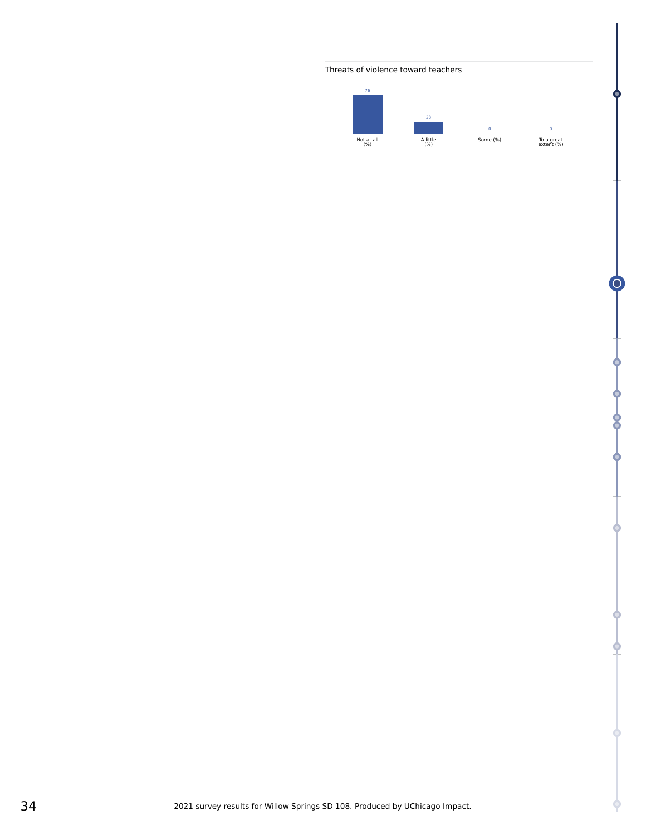



 $\subset$ 

o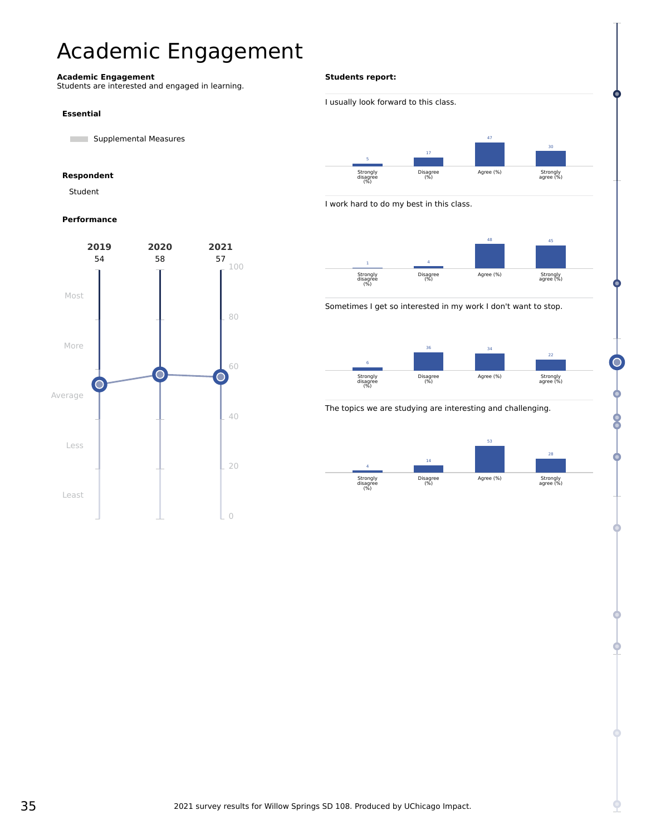# <span id="page-34-0"></span>Academic Engagement

#### **Academic Engagement**

Students are interested and engaged in learning.

#### **Essential**

**Supplemental Measures** 

## **Respondent**

Student

### **Performance**



### **Students report:**











### The topics we are studying are interesting and challenging.

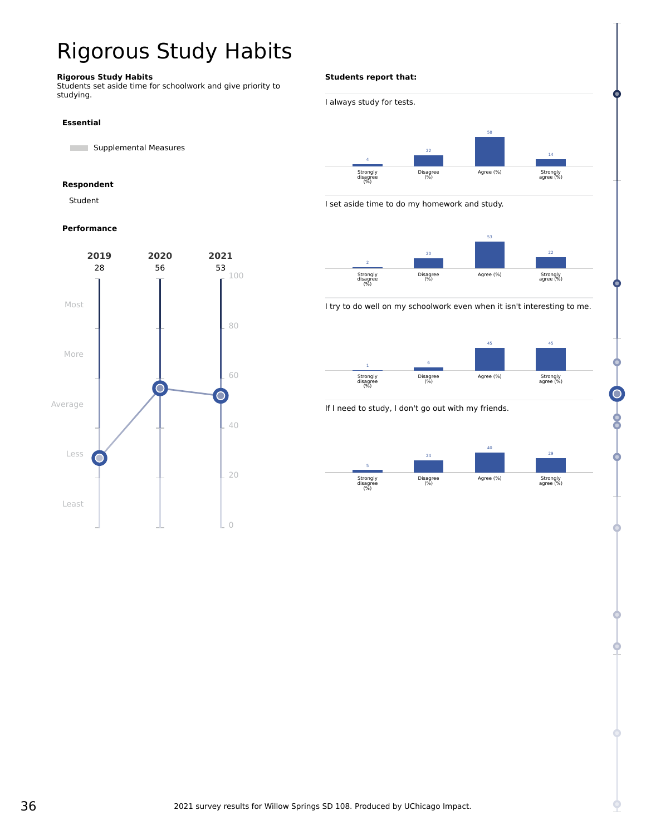# <span id="page-35-0"></span>Rigorous Study Habits

### **Rigorous Study Habits**

Students set aside time for schoolwork and give priority to studying.

#### **Essential**

**Supplemental Measures** 

### **Respondent**

Student

### **Performance**



### **Students report that:**



I set aside time to do my homework and study.



I try to do well on my schoolwork even when it isn't interesting to me.



### If I need to study, I don't go out with my friends.

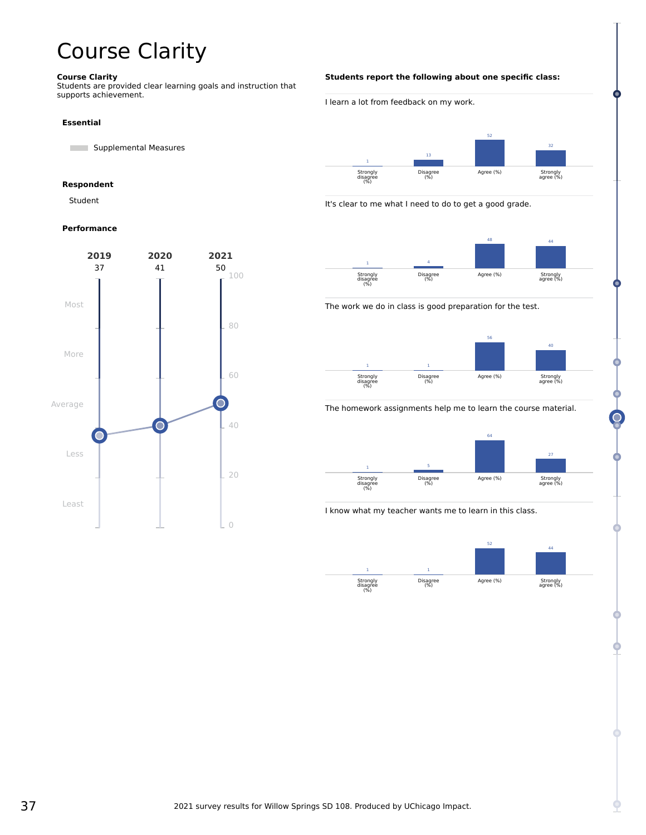# <span id="page-36-0"></span>Course Clarity

#### **Course Clarity**

Students are provided clear learning goals and instruction that supports achievement.

#### **Essential**

**Supplemental Measures** 

#### **Respondent**

Student

### **Performance**



#### **Students report the following about one specific class:**



It's clear to me what I need to do to get a good grade.



#### The work we do in class is good preparation for the test.



#### The homework assignments help me to learn the course material.



I know what my teacher wants me to learn in this class.

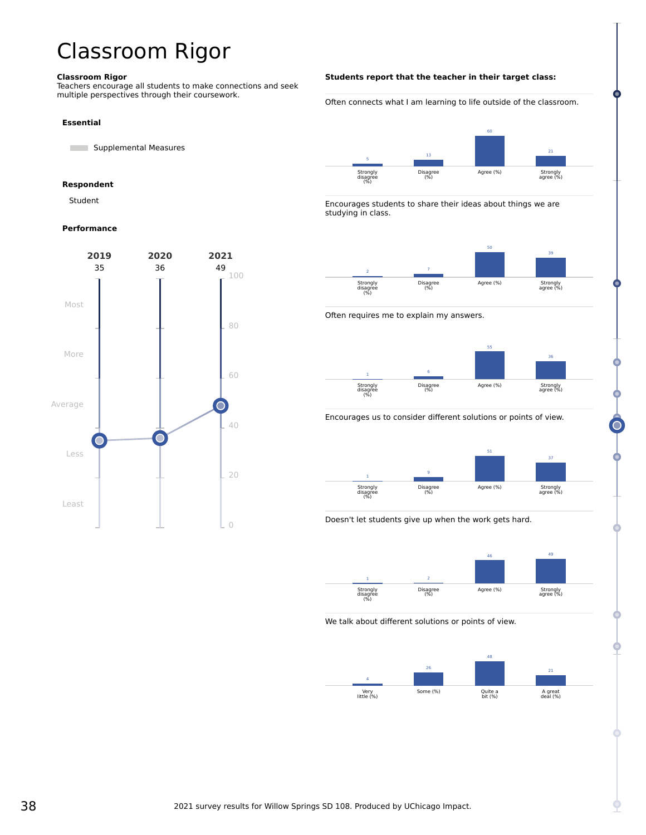# <span id="page-37-0"></span>Classroom Rigor

#### **Classroom Rigor**

Teachers encourage all students to make connections and seek multiple perspectives through their coursework.

#### **Essential**

**Supplemental Measures** 

#### **Respondent**

Student

#### **Performance**



#### **Students report that the teacher in their target class:**

Often connects what I am learning to life outside of the classroom.



Encourages students to share their ideas about things we are studying in class.



Often requires me to explain my answers.



Encourages us to consider different solutions or points of view.







We talk about different solutions or points of view.

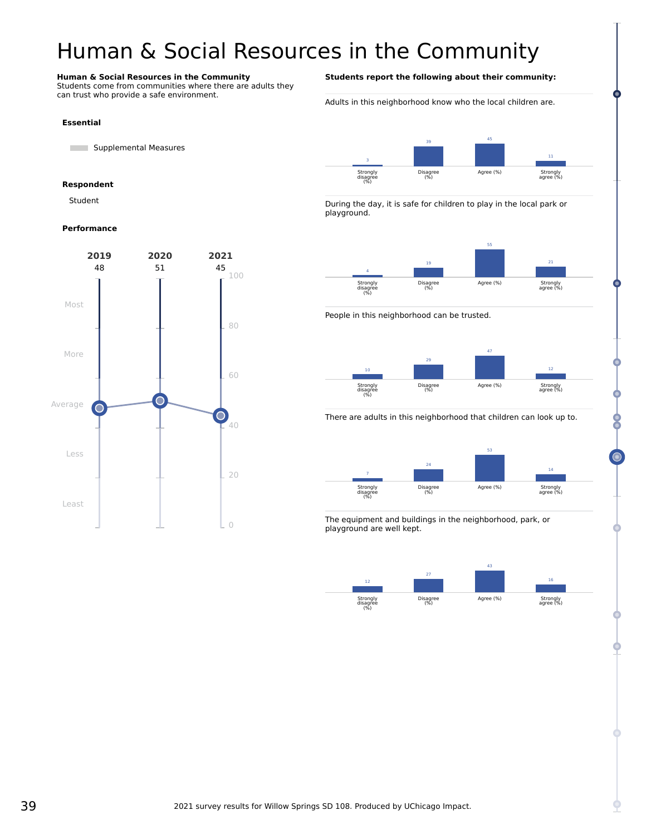# <span id="page-38-0"></span>Human & Social Resources in the Community

#### **Human & Social Resources in the Community**

**Supplemental Measures** 

**Essential**

**Respondent** Student

Students come from communities where there are adults they can trust who provide a safe environment.

### **Students report the following about their community:**

Adults in this neighborhood know who the local children are.







People in this neighborhood can be trusted.



There are adults in this neighborhood that children can look up to.



The equipment and buildings in the neighborhood, park, or playground are well kept.



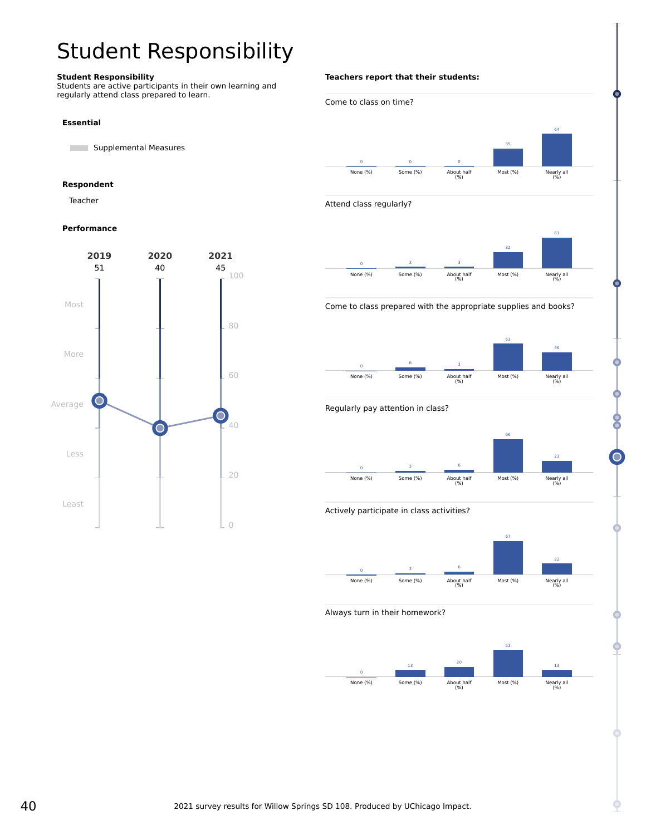# <span id="page-39-0"></span>Student Responsibility

### **Student Responsibility**

Students are active participants in their own learning and regularly attend class prepared to learn.

#### **Essential**

**Supplemental Measures** 

#### **Respondent**

Teacher

#### **Performance**



#### **Teachers report that their students:**





#### Come to class prepared with the appropriate supplies and books?





### Actively participate in class activities?



#### Always turn in their homework?





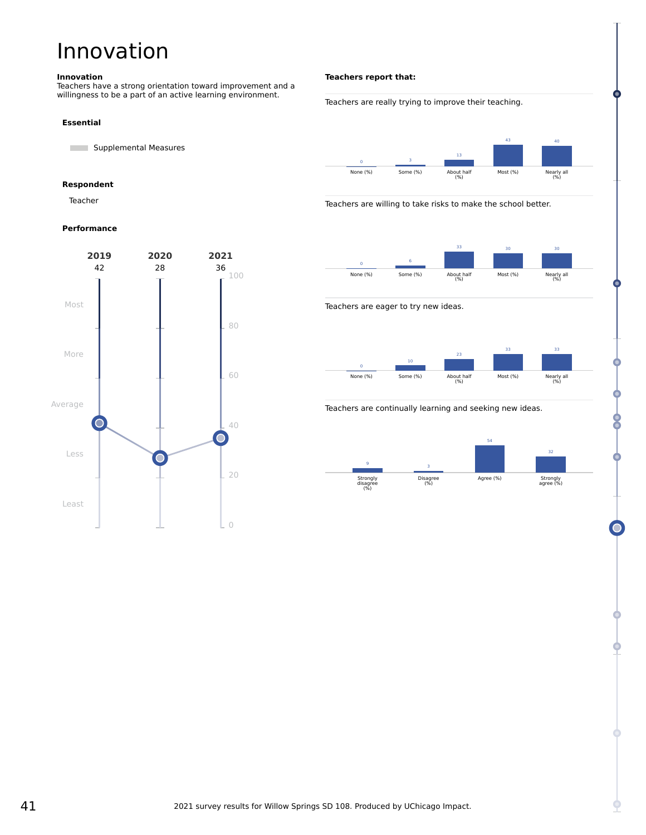# <span id="page-40-0"></span>Innovation

#### **Innovation**

Teachers have a strong orientation toward improvement and a willingness to be a part of an active learning environment.

#### **Essential**

**Supplemental Measures** 

#### **Respondent**

Teacher

#### **Performance**



#### **Teachers report that:**

#### Teachers are really trying to improve their teaching.











#### Teachers are continually learning and seeking new ideas.

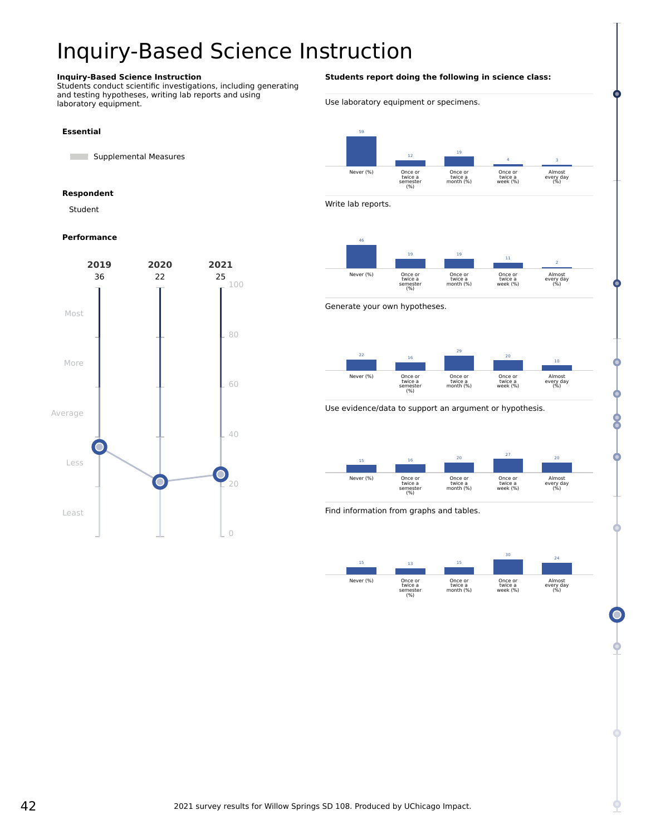# <span id="page-41-0"></span>Inquiry-Based Science Instruction

#### **Inquiry-Based Science Instruction**

Students conduct scientific investigations, including generating and testing hypotheses, writing lab reports and using laboratory equipment.

### **Essential**

**Supplemental Measures** 

#### **Respondent**

Student

#### **Performance**



#### **Students report doing the following in science class:**

Use laboratory equipment or specimens.



Write lab reports.



Generate your own hypotheses.



Use evidence/data to support an argument or hypothesis.



Find information from graphs and tables.

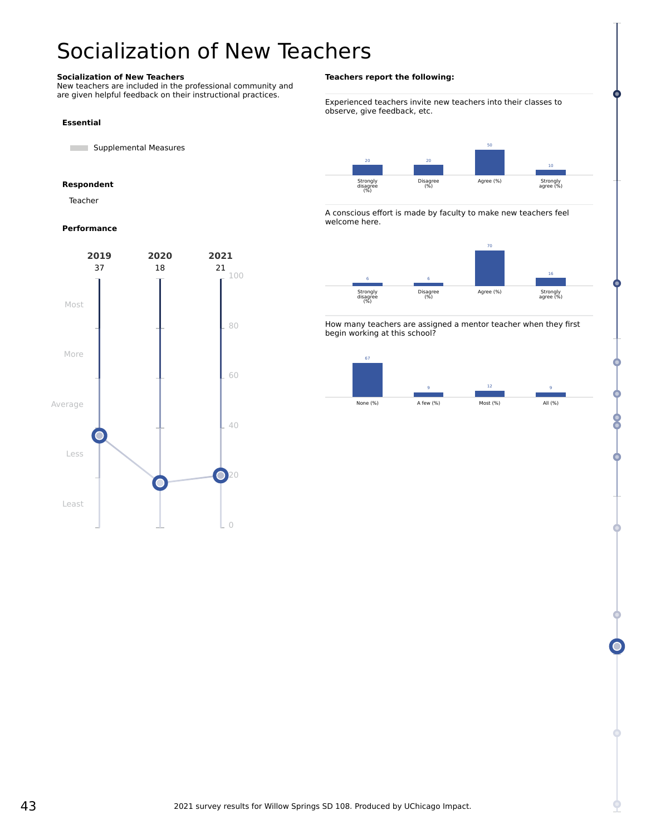# <span id="page-42-0"></span>Socialization of New Teachers

### **Socialization of New Teachers**

New teachers are included in the professional community and are given helpful feedback on their instructional practices.

#### **Essential**

**Supplemental Measures** 

#### **Respondent**

Teacher

#### **Performance**



#### **Teachers report the following:**

Experienced teachers invite new teachers into their classes to observe, give feedback, etc.



A conscious effort is made by faculty to make new teachers feel welcome here.



How many teachers are assigned a mentor teacher when they first begin working at this school?

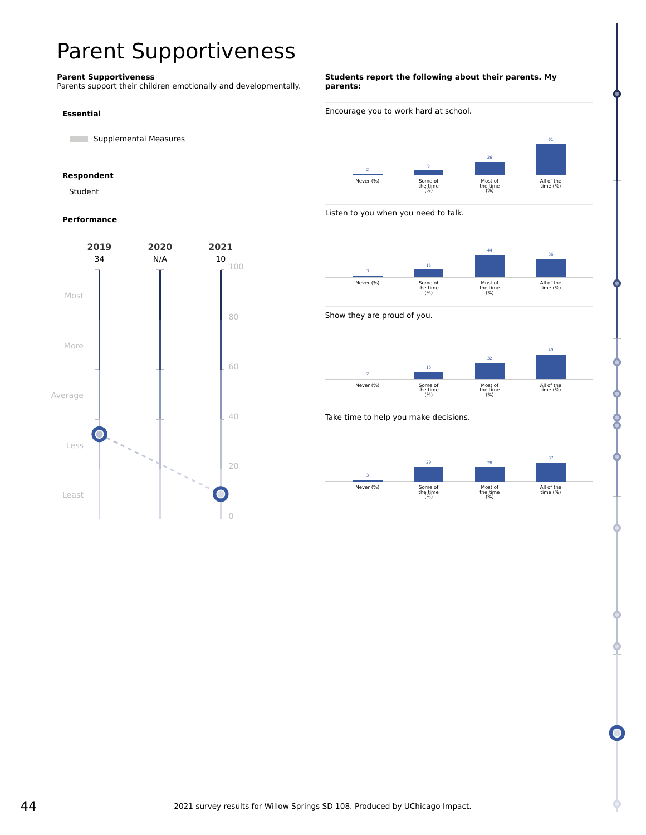# <span id="page-43-0"></span>Parent Supportiveness

#### **Parent Supportiveness**

Parents support their children emotionally and developmentally.

#### **Essential**

**Supplemental Measures** 

### **Respondent**

Student

### **Performance**



#### **Students report the following about their parents. My parents:**





Listen to you when you need to talk.



Show they are proud of you.



Take time to help you make decisions.